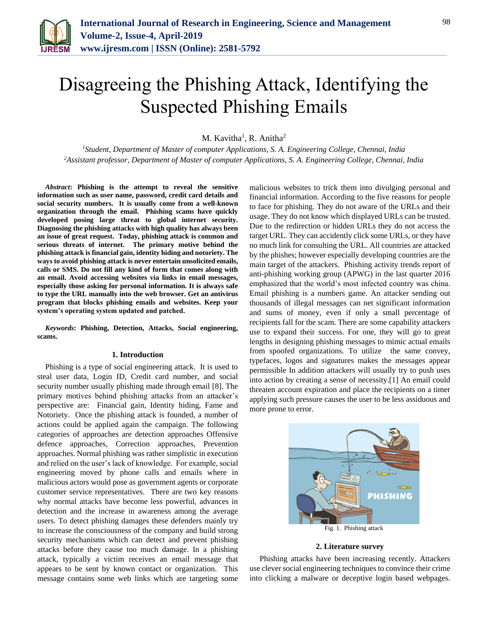

# Disagreeing the Phishing Attack, Identifying the Suspected Phishing Emails

M. Kavitha<sup>1</sup>, R. Anitha<sup>2</sup>

*<sup>1</sup>Student, Department of Master of computer Applications, S. A. Engineering College, Chennai, India 2Assistant professor, Department of Master of computer Applications, S. A. Engineering College, Chennai, India*

*Abstract***: Phishing is the attempt to reveal the sensitive information such as user name, password, credit card details and social security numbers. It is usually come from a well-known organization through the email. Phishing scams have quickly developed posing large threat to global internet security. Diagnosing the phishing attacks with high quality has always been an issue of great request. Today, phishing attack is common and serious threats of internet. The primary motive behind the phishing attack is financial gain, identity hiding and notoriety. The ways to avoid phishing attack is never entertain unsolicited emails, calls or SMS. Do not fill any kind of form that comes along with an email. Avoid accessing websites via links in email messages, especially those asking for personal information. It is always safe to type the URL manually into the web browser. Get an antivirus program that blocks phishing emails and websites. Keep your system's operating system updated and patched.** 

*Keywords***: Phishing, Detection, Attacks, Social engineering, scams.**

#### **1. Introduction**

Phishing is a type of social engineering attack. It is used to steal user data, Login ID, Credit card number, and social security number usually phishing made through email [8]. The primary motives behind phishing attacks from an attacker's perspective are: Financial gain, Identity hiding, Fame and Notoriety. Once the phishing attack is founded, a number of actions could be applied again the campaign. The following categories of approaches are detection approaches Offensive defence approaches, Correction approaches, Prevention approaches. Normal phishing was rather simplistic in execution and relied on the user's lack of knowledge. For example, social engineering moved by phone calls and emails where in malicious actors would pose as government agents or corporate customer service representatives. There are two key reasons why normal attacks have become less powerful, advances in detection and the increase in awareness among the average users. To detect phishing damages these defenders mainly try to increase the consciousness of the company and build strong security mechanisms which can detect and prevent phishing attacks before they cause too much damage. In a phishing attack, typically a victim receives an email message that appears to be sent by known contact or organization. This message contains some web links which are targeting some malicious websites to trick them into divulging personal and financial information. According to the five reasons for people to face for phishing. They do not aware of the URLs and their usage. They do not know which displayed URLs can be trusted. Due to the redirection or hidden URLs they do not access the target URL. They can accidently click some URLs, or they have no much link for consulting the URL. All countries are attacked by the phishes; however especially developing countries are the main target of the attackers. Phishing activity trends report of anti-phishing working group (APWG) in the last quarter 2016 emphasized that the world's most infected country was china. Email phishing is a numbers game. An attacker sending out thousands of illegal messages can net significant information and sums of money, even if only a small percentage of recipients fall for the scam. There are some capability attackers use to expand their success. For one, they will go to great lengths in designing phishing messages to mimic actual emails from spoofed organizations. To utilize the same convey, typefaces, logos and signatures makes the messages appear permissible In addition attackers will usually try to push uses into action by creating a sense of necessity.[1] An email could threaten account expiration and place the recipients on a timer applying such pressure causes the user to be less assiduous and more prone to error.



## **2. Literature survey**

Phishing attacks have been increasing recently. Attackers use clever social engineering techniques to convince their crime into clicking a malware or deceptive login based webpages.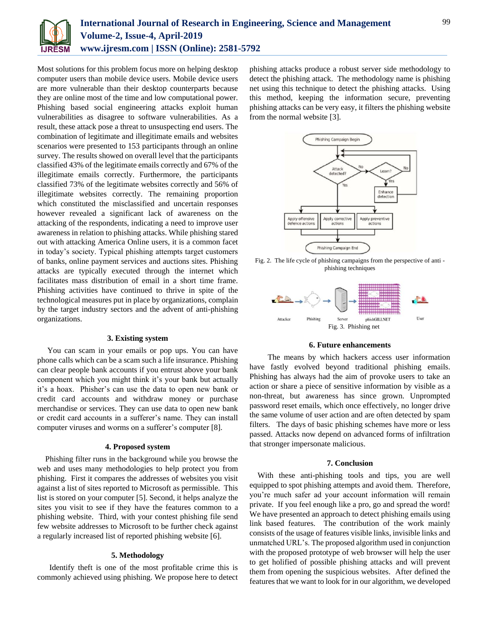

Most solutions for this problem focus more on helping desktop computer users than mobile device users. Mobile device users are more vulnerable than their desktop counterparts because they are online most of the time and low computational power. Phishing based social engineering attacks exploit human vulnerabilities as disagree to software vulnerabilities. As a result, these attack pose a threat to unsuspecting end users. The combination of legitimate and illegitimate emails and websites scenarios were presented to 153 participants through an online survey. The results showed on overall level that the participants classified 43% of the legitimate emails correctly and 67% of the illegitimate emails correctly. Furthermore, the participants classified 73% of the legitimate websites correctly and 56% of illegitimate websites correctly. The remaining proportion which constituted the misclassified and uncertain responses however revealed a significant lack of awareness on the attacking of the respondents, indicating a need to improve user awareness in relation to phishing attacks. While phishing stared out with attacking America Online users, it is a common facet in today's society. Typical phishing attempts target customers of banks, online payment services and auctions sites. Phishing attacks are typically executed through the internet which facilitates mass distribution of email in a short time frame. Phishing activities have continued to thrive in spite of the technological measures put in place by organizations, complain by the target industry sectors and the advent of anti-phishing organizations.

## **3. Existing system**

You can scam in your emails or pop ups. You can have phone calls which can be a scam such a life insurance. Phishing can clear people bank accounts if you entrust above your bank component which you might think it's your bank but actually it's a hoax. Phisher's can use the data to open new bank or credit card accounts and withdraw money or purchase merchandise or services. They can use data to open new bank or credit card accounts in a sufferer's name. They can install computer viruses and worms on a sufferer's computer [8].

#### **4. Proposed system**

Phishing filter runs in the background while you browse the web and uses many methodologies to help protect you from phishing. First it compares the addresses of websites you visit against a list of sites reported to Microsoft as permissible. This list is stored on your computer [5]. Second, it helps analyze the sites you visit to see if they have the features common to a phishing website. Third, with your contest phishing file send few website addresses to Microsoft to be further check against a regularly increased list of reported phishing website [6].

# **5. Methodology**

 Identify theft is one of the most profitable crime this is commonly achieved using phishing. We propose here to detect phishing attacks produce a robust server side methodology to detect the phishing attack. The methodology name is phishing net using this technique to detect the phishing attacks. Using this method, keeping the information secure, preventing phishing attacks can be very easy, it filters the phishing website from the normal website [3].



Fig. 2. The life cycle of phishing campaigns from the perspective of anti phishing techniques



### **6. Future enhancements**

The means by which hackers access user information have fastly evolved beyond traditional phishing emails. Phishing has always had the aim of provoke users to take an action or share a piece of sensitive information by visible as a non-threat, but awareness has since grown. Unprompted password reset emails, which once effectively, no longer drive the same volume of user action and are often detected by spam filters. The days of basic phishing schemes have more or less passed. Attacks now depend on advanced forms of infiltration that stronger impersonate malicious.

#### **7. Conclusion**

With these anti-phishing tools and tips, you are well equipped to spot phishing attempts and avoid them. Therefore, you're much safer ad your account information will remain private. If you feel enough like a pro, go and spread the word! We have presented an approach to detect phishing emails using link based features. The contribution of the work mainly consists of the usage of features visible links, invisible links and unmatched URL's. The proposed algorithm used in conjunction with the proposed prototype of web browser will help the user to get holified of possible phishing attacks and will prevent them from opening the suspicious websites. After defined the features that we want to look for in our algorithm, we developed